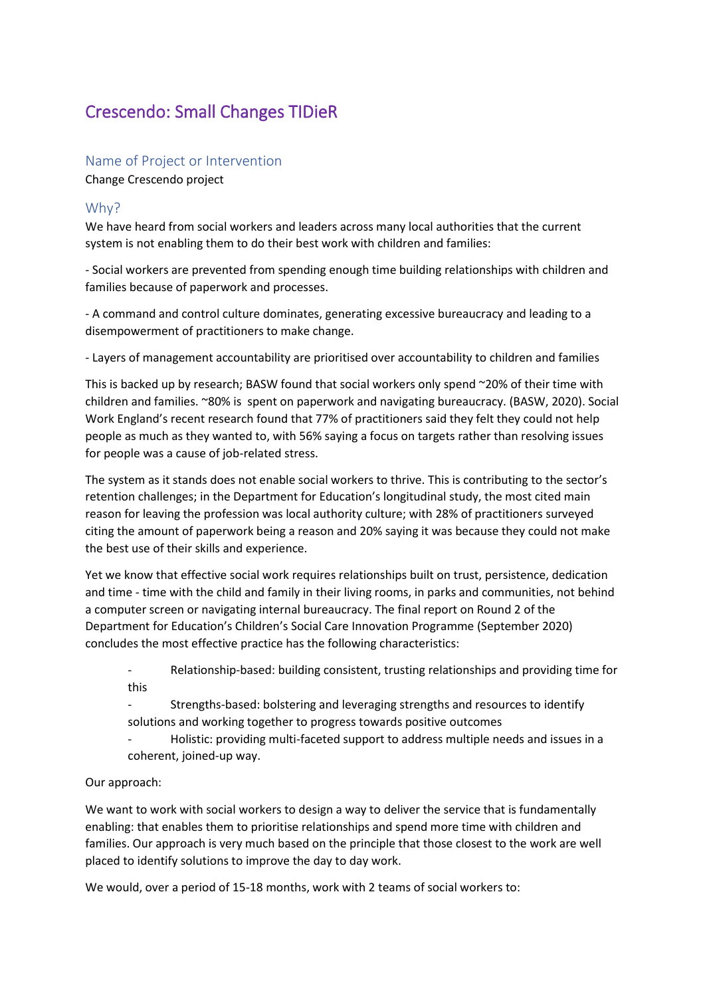# Crescendo: Small Changes TIDieR

## Name of Project or Intervention

Change Crescendo project

## Why?

We have heard from social workers and leaders across many local authorities that the current system is not enabling them to do their best work with children and families:

- Social workers are prevented from spending enough time building relationships with children and families because of paperwork and processes.

- A command and control culture dominates, generating excessive bureaucracy and leading to a disempowerment of practitioners to make change.

- Layers of management accountability are prioritised over accountability to children and families

This is backed up by research; BASW found that social workers only spend ~20% of their time with children and families. ~80% is spent on paperwork and navigating bureaucracy. (BASW, 2020). Social Work England's recent research found that 77% of practitioners said they felt they could not help people as much as they wanted to, with 56% saying a focus on targets rather than resolving issues for people was a cause of job-related stress.

The system as it stands does not enable social workers to thrive. This is contributing to the sector's retention challenges; in the Department for Education's longitudinal study, the most cited main reason for leaving the profession was local authority culture; with 28% of practitioners surveyed citing the amount of paperwork being a reason and 20% saying it was because they could not make the best use of their skills and experience.

Yet we know that effective social work requires relationships built on trust, persistence, dedication and time - time with the child and family in their living rooms, in parks and communities, not behind a computer screen or navigating internal bureaucracy. The final report on Round 2 of the Department for Education's Children's Social Care Innovation Programme (September 2020) concludes the most effective practice has the following characteristics:

- Relationship-based: building consistent, trusting relationships and providing time for this

Strengths-based: bolstering and leveraging strengths and resources to identify solutions and working together to progress towards positive outcomes

Holistic: providing multi-faceted support to address multiple needs and issues in a coherent, joined-up way.

## Our approach:

We want to work with social workers to design a way to deliver the service that is fundamentally enabling: that enables them to prioritise relationships and spend more time with children and families. Our approach is very much based on the principle that those closest to the work are well placed to identify solutions to improve the day to day work.

We would, over a period of 15-18 months, work with 2 teams of social workers to: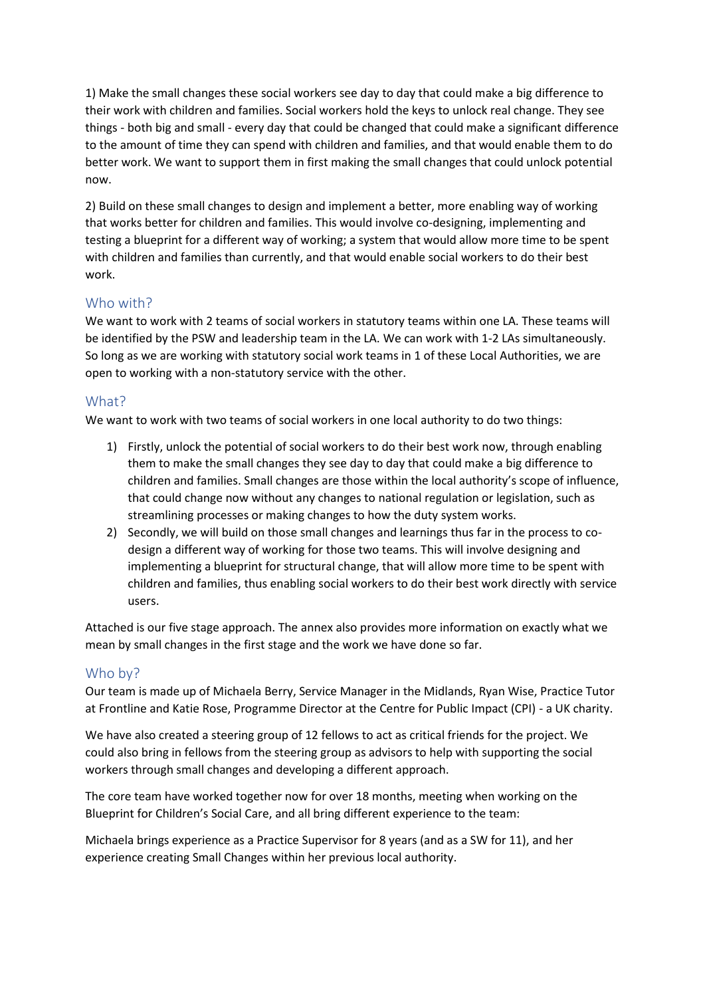1) Make the small changes these social workers see day to day that could make a big difference to their work with children and families. Social workers hold the keys to unlock real change. They see things - both big and small - every day that could be changed that could make a significant difference to the amount of time they can spend with children and families, and that would enable them to do better work. We want to support them in first making the small changes that could unlock potential now.

2) Build on these small changes to design and implement a better, more enabling way of working that works better for children and families. This would involve co-designing, implementing and testing a blueprint for a different way of working; a system that would allow more time to be spent with children and families than currently, and that would enable social workers to do their best work.

## Who with?

We want to work with 2 teams of social workers in statutory teams within one LA. These teams will be identified by the PSW and leadership team in the LA. We can work with 1-2 LAs simultaneously. So long as we are working with statutory social work teams in 1 of these Local Authorities, we are open to working with a non-statutory service with the other.

## What?

We want to work with two teams of social workers in one local authority to do two things:

- 1) Firstly, unlock the potential of social workers to do their best work now, through enabling them to make the small changes they see day to day that could make a big difference to children and families. Small changes are those within the local authority's scope of influence, that could change now without any changes to national regulation or legislation, such as streamlining processes or making changes to how the duty system works.
- 2) Secondly, we will build on those small changes and learnings thus far in the process to codesign a different way of working for those two teams. This will involve designing and implementing a blueprint for structural change, that will allow more time to be spent with children and families, thus enabling social workers to do their best work directly with service users.

Attached is our five stage approach. The annex also provides more information on exactly what we mean by small changes in the first stage and the work we have done so far.

## Who by?

Our team is made up of Michaela Berry, Service Manager in the Midlands, Ryan Wise, Practice Tutor at Frontline and Katie Rose, Programme Director at the Centre for Public Impact (CPI) - a UK charity.

We have also created a steering group of 12 fellows to act as critical friends for the project. We could also bring in fellows from the steering group as advisors to help with supporting the social workers through small changes and developing a different approach.

The core team have worked together now for over 18 months, meeting when working on the Blueprint for Children's Social Care, and all bring different experience to the team:

Michaela brings experience as a Practice Supervisor for 8 years (and as a SW for 11), and her experience creating Small Changes within her previous local authority.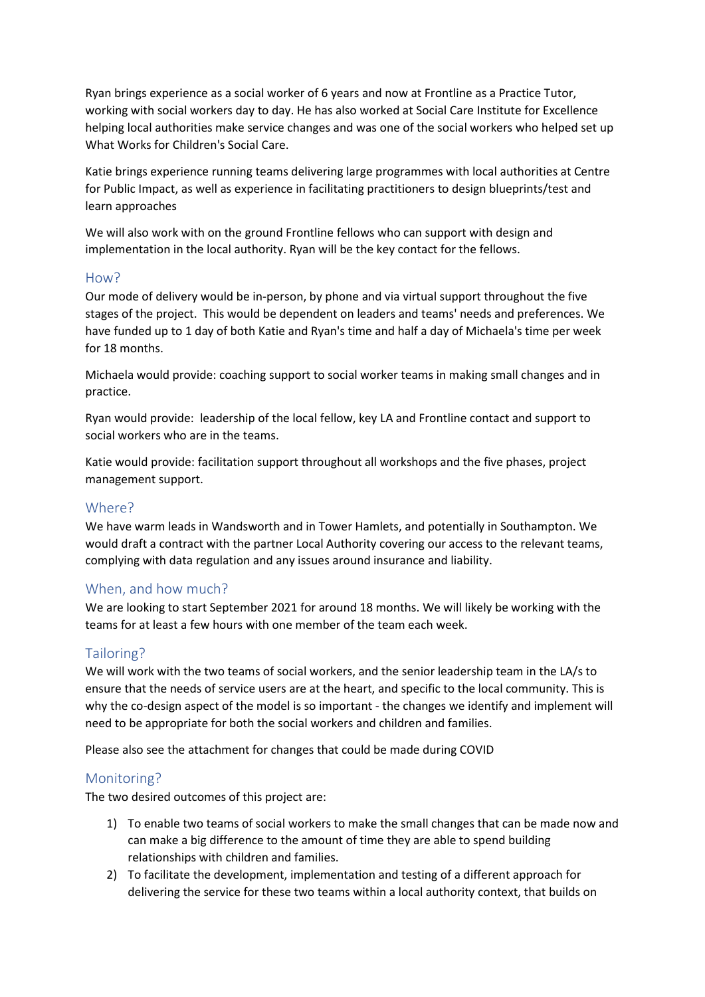Ryan brings experience as a social worker of 6 years and now at Frontline as a Practice Tutor, working with social workers day to day. He has also worked at Social Care Institute for Excellence helping local authorities make service changes and was one of the social workers who helped set up What Works for Children's Social Care.

Katie brings experience running teams delivering large programmes with local authorities at Centre for Public Impact, as well as experience in facilitating practitioners to design blueprints/test and learn approaches

We will also work with on the ground Frontline fellows who can support with design and implementation in the local authority. Ryan will be the key contact for the fellows.

#### How?

Our mode of delivery would be in-person, by phone and via virtual support throughout the five stages of the project. This would be dependent on leaders and teams' needs and preferences. We have funded up to 1 day of both Katie and Ryan's time and half a day of Michaela's time per week for 18 months.

Michaela would provide: coaching support to social worker teams in making small changes and in practice.

Ryan would provide: leadership of the local fellow, key LA and Frontline contact and support to social workers who are in the teams.

Katie would provide: facilitation support throughout all workshops and the five phases, project management support.

## Where?

We have warm leads in Wandsworth and in Tower Hamlets, and potentially in Southampton. We would draft a contract with the partner Local Authority covering our access to the relevant teams, complying with data regulation and any issues around insurance and liability.

## When, and how much?

We are looking to start September 2021 for around 18 months. We will likely be working with the teams for at least a few hours with one member of the team each week.

## Tailoring?

We will work with the two teams of social workers, and the senior leadership team in the LA/s to ensure that the needs of service users are at the heart, and specific to the local community. This is why the co-design aspect of the model is so important - the changes we identify and implement will need to be appropriate for both the social workers and children and families.

Please also see the attachment for changes that could be made during COVID

## Monitoring?

The two desired outcomes of this project are:

- 1) To enable two teams of social workers to make the small changes that can be made now and can make a big difference to the amount of time they are able to spend building relationships with children and families.
- 2) To facilitate the development, implementation and testing of a different approach for delivering the service for these two teams within a local authority context, that builds on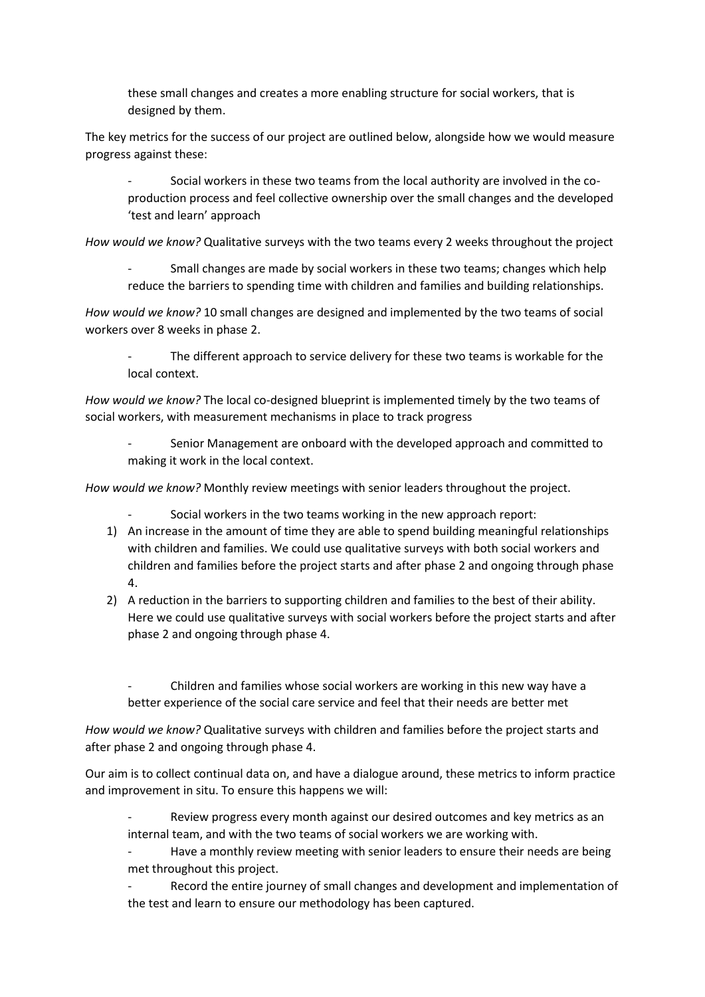these small changes and creates a more enabling structure for social workers, that is designed by them.

The key metrics for the success of our project are outlined below, alongside how we would measure progress against these:

- Social workers in these two teams from the local authority are involved in the coproduction process and feel collective ownership over the small changes and the developed 'test and learn' approach

*How would we know?* Qualitative surveys with the two teams every 2 weeks throughout the project

- Small changes are made by social workers in these two teams; changes which help reduce the barriers to spending time with children and families and building relationships.

*How would we know?* 10 small changes are designed and implemented by the two teams of social workers over 8 weeks in phase 2.

The different approach to service delivery for these two teams is workable for the local context.

*How would we know?* The local co-designed blueprint is implemented timely by the two teams of social workers, with measurement mechanisms in place to track progress

- Senior Management are onboard with the developed approach and committed to making it work in the local context.

*How would we know?* Monthly review meetings with senior leaders throughout the project.

- Social workers in the two teams working in the new approach report:

- 1) An increase in the amount of time they are able to spend building meaningful relationships with children and families. We could use qualitative surveys with both social workers and children and families before the project starts and after phase 2 and ongoing through phase 4.
- 2) A reduction in the barriers to supporting children and families to the best of their ability. Here we could use qualitative surveys with social workers before the project starts and after phase 2 and ongoing through phase 4.

Children and families whose social workers are working in this new way have a better experience of the social care service and feel that their needs are better met

*How would we know?* Qualitative surveys with children and families before the project starts and after phase 2 and ongoing through phase 4.

Our aim is to collect continual data on, and have a dialogue around, these metrics to inform practice and improvement in situ. To ensure this happens we will:

Review progress every month against our desired outcomes and key metrics as an internal team, and with the two teams of social workers we are working with.

Have a monthly review meeting with senior leaders to ensure their needs are being met throughout this project.

Record the entire journey of small changes and development and implementation of the test and learn to ensure our methodology has been captured.